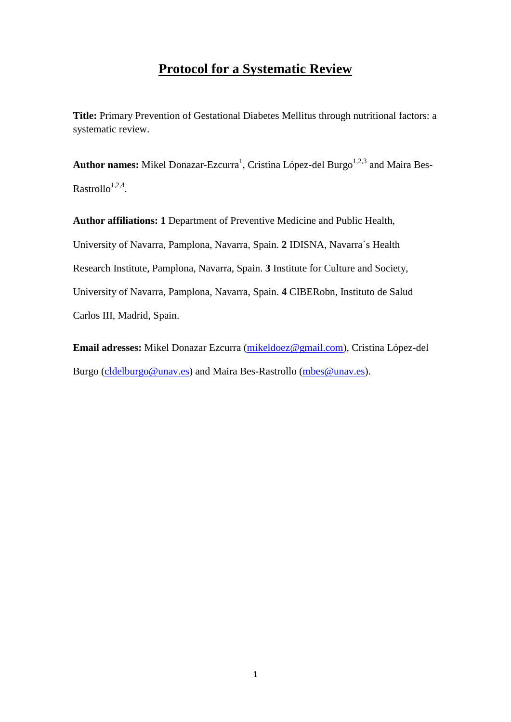# **Protocol for a Systematic Review**

**Title:** Primary Prevention of Gestational Diabetes Mellitus through nutritional factors: a systematic review.

Author names: Mikel Donazar-Ezcurra<sup>1</sup>, Cristina López-del Burgo<sup>1,2,3</sup> and Maira Bes-Rastrollo<sup>1,2,4</sup>.

**Author affiliations: 1** Department of Preventive Medicine and Public Health, University of Navarra, Pamplona, Navarra, Spain. **2** IDISNA, Navarra´s Health Research Institute, Pamplona, Navarra, Spain. **3** Institute for Culture and Society, University of Navarra, Pamplona, Navarra, Spain. **4** CIBERobn, Instituto de Salud Carlos III, Madrid, Spain.

**Email adresses:** Mikel Donazar Ezcurra [\(mikeldoez@gmail.com\)](mailto:mikeldoez@gmail.com), Cristina López-del Burgo [\(cldelburgo@unav.es\)](mailto:cldelburgo@unav.es) and Maira Bes-Rastrollo [\(mbes@unav.es\)](mailto:mbes@unav.es).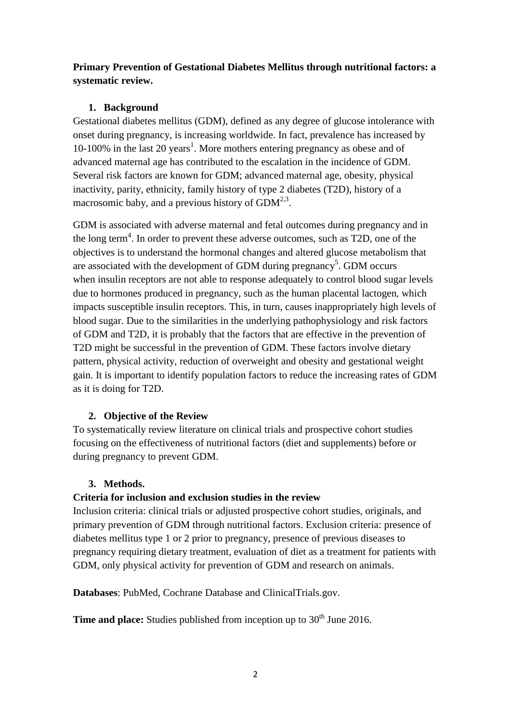# **Primary Prevention of Gestational Diabetes Mellitus through nutritional factors: a systematic review.**

# **1. Background**

Gestational diabetes mellitus (GDM), defined as any degree of glucose intolerance with onset during pregnancy, is increasing worldwide. In fact, prevalence has increased by  $10-100\%$  in the last 20 years<sup>1</sup>. More mothers entering pregnancy as obese and of advanced maternal age has contributed to the escalation in the incidence of GDM. Several risk factors are known for GDM; advanced maternal age, obesity, physical inactivity, parity, ethnicity, family history of type 2 diabetes (T2D), history of a macrosomic baby, and a previous history of  $GDM^{2,3}$ .

GDM is associated with adverse maternal and fetal outcomes during pregnancy and in the long term<sup>4</sup>. In order to prevent these adverse outcomes, such as  $T2D$ , one of the objectives is to understand the hormonal changes and altered glucose metabolism that are associated with the development of GDM during pregnancy<sup>5</sup>. GDM occurs when [insulin receptors](http://en.wikipedia.org/wiki/Insulin_receptor) are not able to response adequately to control blood sugar levels due to hormones produced in pregnancy, such as the [human placental lactogen](http://en.wikipedia.org/wiki/Human_placental_lactogen), which impacts susceptible insulin receptors. This, in turn, causes inappropriately high levels of blood sugar. Due to the similarities in the underlying pathophysiology and risk factors of GDM and T2D, it is probably that the factors that are effective in the prevention of T2D might be successful in the prevention of GDM. These factors involve dietary pattern, physical activity, reduction of overweight and obesity and gestational weight gain. It is important to identify population factors to reduce the increasing rates of GDM as it is doing for T2D.

## **2. Objective of the Review**

To systematically review literature on clinical trials and prospective cohort studies focusing on the effectiveness of nutritional factors (diet and supplements) before or during pregnancy to prevent GDM.

## **3. Methods.**

## **Criteria for inclusion and exclusion studies in the review**

Inclusion criteria: clinical trials or adjusted prospective cohort studies, originals, and primary prevention of GDM through nutritional factors. Exclusion criteria: presence of diabetes mellitus type 1 or 2 prior to pregnancy, presence of previous diseases to pregnancy requiring dietary treatment, evaluation of diet as a treatment for patients with GDM, only physical activity for prevention of GDM and research on animals.

**Databases**: PubMed, Cochrane Database and ClinicalTrials.gov.

**Time and place:** Studies published from inception up to 30<sup>th</sup> June 2016.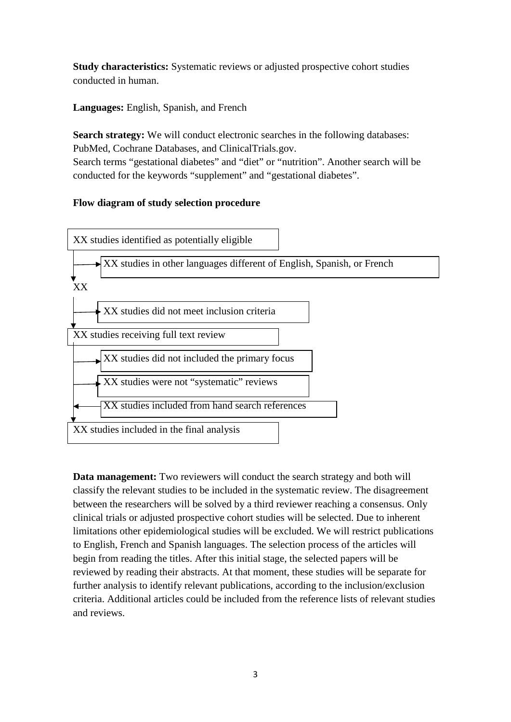**Study characteristics:** Systematic reviews or adjusted prospective cohort studies conducted in human.

**Languages:** English, Spanish, and French

**Search strategy:** We will conduct electronic searches in the following databases: PubMed, Cochrane Databases, and ClinicalTrials.gov. Search terms "gestational diabetes" and "diet" or "nutrition". Another search will be conducted for the keywords "supplement" and "gestational diabetes".

## **Flow diagram of study selection procedure**



**Data management:** Two reviewers will conduct the search strategy and both will classify the relevant studies to be included in the systematic review. The disagreement between the researchers will be solved by a third reviewer reaching a consensus. Only clinical trials or adjusted prospective cohort studies will be selected. Due to inherent limitations other epidemiological studies will be excluded. We will restrict publications to English, French and Spanish languages. The selection process of the articles will begin from reading the titles. After this initial stage, the selected papers will be reviewed by reading their abstracts. At that moment, these studies will be separate for further analysis to identify relevant publications, according to the inclusion/exclusion criteria. Additional articles could be included from the reference lists of relevant studies and reviews.